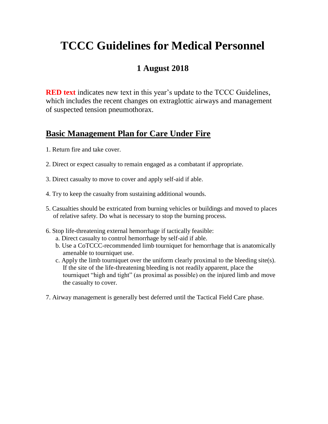# **TCCC Guidelines for Medical Personnel**

# **1 August 2018**

**RED text** indicates new text in this year's update to the TCCC Guidelines, which includes the recent changes on extraglottic airways and management of suspected tension pneumothorax.

# **Basic Management Plan for Care Under Fire**

- 1. Return fire and take cover.
- 2. Direct or expect casualty to remain engaged as a combatant if appropriate.
- 3. Direct casualty to move to cover and apply self-aid if able.
- 4. Try to keep the casualty from sustaining additional wounds.
- 5. Casualties should be extricated from burning vehicles or buildings and moved to places of relative safety. Do what is necessary to stop the burning process.
- 6. Stop life-threatening external hemorrhage if tactically feasible:
	- a. Direct casualty to control hemorrhage by self-aid if able.
	- b. Use a CoTCCC-recommended limb tourniquet for hemorrhage that is anatomically amenable to tourniquet use.
	- c. Apply the limb tourniquet over the uniform clearly proximal to the bleeding site(s). If the site of the life-threatening bleeding is not readily apparent, place the tourniquet "high and tight" (as proximal as possible) on the injured limb and move the casualty to cover.
- 7. Airway management is generally best deferred until the Tactical Field Care phase.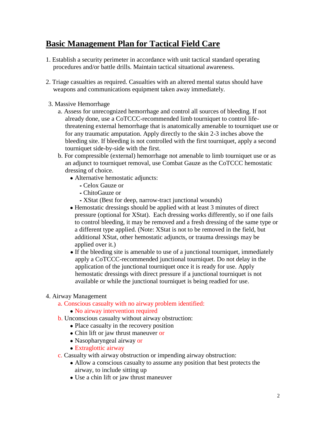# **Basic Management Plan for Tactical Field Care**

- 1. Establish a security perimeter in accordance with unit tactical standard operating procedures and/or battle drills. Maintain tactical situational awareness.
- 2. Triage casualties as required. Casualties with an altered mental status should have weapons and communications equipment taken away immediately.

### 3. Massive Hemorrhage

- a. Assess for unrecognized hemorrhage and control all sources of bleeding. If not already done, use a CoTCCC-recommended limb tourniquet to control lifethreatening external hemorrhage that is anatomically amenable to tourniquet use or for any traumatic amputation. Apply directly to the skin 2-3 inches above the bleeding site. If bleeding is not controlled with the first tourniquet, apply a second tourniquet side-by-side with the first.
- b. For compressible (external) hemorrhage not amenable to limb tourniquet use or as an adjunct to tourniquet removal, use Combat Gauze as the CoTCCC hemostatic dressing of choice.
	- Alternative hemostatic adjuncts:
		- ⁃ Celox Gauze or
		- ⁃ ChitoGauze or
		- ⁃ XStat (Best for deep, narrow-tract junctional wounds)
	- Hemostatic dressings should be applied with at least 3 minutes of direct pressure (optional for XStat). Each dressing works differently, so if one fails to control bleeding, it may be removed and a fresh dressing of the same type or a different type applied. (Note: XStat is not to be removed in the field, but additional XStat, other hemostatic adjuncts, or trauma dressings may be applied over it.)
	- If the bleeding site is amenable to use of a junctional tourniquet, immediately apply a CoTCCC-recommended junctional tourniquet. Do not delay in the application of the junctional tourniquet once it is ready for use. Apply hemostatic dressings with direct pressure if a junctional tourniquet is not available or while the junctional tourniquet is being readied for use.

### 4. Airway Management

- a. Conscious casualty with no airway problem identified:
	- No airway intervention required
- b. Unconscious casualty without airway obstruction:
	- Place casualty in the recovery position
	- Chin lift or jaw thrust maneuver or
	- Nasopharyngeal airway or
	- Extraglottic airway
- c. Casualty with airway obstruction or impending airway obstruction:
	- Allow a conscious casualty to assume any position that best protects the airway, to include sitting up
	- Use a chin lift or jaw thrust maneuver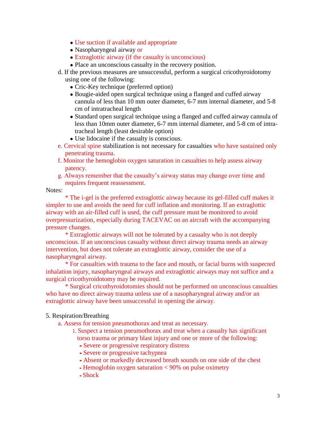- Use suction if available and appropriate
- Nasopharyngeal airway or
- Extraglottic airway (if the casualty is unconscious)
- Place an unconscious casualty in the recovery position.
- d. If the previous measures are unsuccessful, perform a surgical cricothyroidotomy using one of the following:
	- Cric-Key technique (preferred option)
	- Bougie-aided open surgical technique using a flanged and cuffed airway cannula of less than 10 mm outer diameter, 6-7 mm internal diameter, and 5-8 cm of intratracheal length
	- Standard open surgical technique using a flanged and cuffed airway cannula of less than 10mm outer diameter, 6-7 mm internal diameter, and 5-8 cm of intratracheal length (least desirable option)
	- Use lidocaine if the casualty is conscious.
- e. Cervical spine stabilization is not necessary for casualties who have sustained only penetrating trauma.
- f. Monitor the hemoglobin oxygen saturation in casualties to help assess airway patency.
- g. Always remember that the casualty's airway status may change over time and requires frequent reassessment.

#### Notes:

\* The i-gel is the preferred extraglottic airway because its gel-filled cuff makes it simpler to use and avoids the need for cuff inflation and monitoring. If an extraglottic airway with an air-filled cuff is used, the cuff pressure must be monitored to avoid overpressurization, especially during TACEVAC on an aircraft with the accompanying pressure changes.

\* Extraglottic airways will not be tolerated by a casualty who is not deeply unconscious. If an unconscious casualty without direct airway trauma needs an airway intervention, but does not tolerate an extraglottic airway, consider the use of a nasopharyngeal airway.

\* For casualties with trauma to the face and mouth, or facial burns with suspected inhalation injury, nasopharyngeal airways and extraglottic airways may not suffice and a surgical cricothyroidotomy may be required.

\* Surgical cricothyroidotomies should not be performed on unconscious casualties who have no direct airway trauma unless use of a nasopharyngeal airway and/or an extraglottic airway have been unsuccessful in opening the airway.

#### 5. Respiration/Breathing

a. Assess for tension pneumothorax and treat as necessary.

- 1. Suspect a tension pneumothorax and treat when a casualty has significant torso trauma or primary blast injury and one or more of the following:
	- **⁃** Severe or progressive respiratory distress
	- **⁃** Severe or progressive tachypnea
	- **⁃** Absent or markedly decreased breath sounds on one side of the chest
	- **⁃** Hemoglobin oxygen saturation < 90% on pulse oximetry
	- **⁃** Shock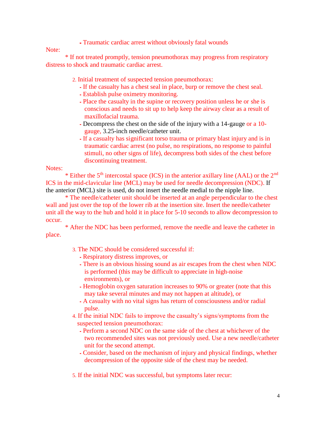**⁃** Traumatic cardiac arrest without obviously fatal wounds

Note:

\* If not treated promptly, tension pneumothorax may progress from respiratory distress to shock and traumatic cardiac arrest.

2. Initial treatment of suspected tension pneumothorax:

- ⁃ If the casualty has a chest seal in place, burp or remove the chest seal.
- ⁃ Establish pulse oximetry monitoring.
- ⁃ Place the casualty in the supine or recovery position unless he or she is conscious and needs to sit up to help keep the airway clear as a result of maxillofacial trauma.
- ⁃ Decompress the chest on the side of the injury with a 14-gauge or a 10 gauge, 3.25-inch needle/catheter unit.
- ⁃ If a casualty has significant torso trauma or primary blast injury and is in traumatic cardiac arrest (no pulse, no respirations, no response to painful stimuli, no other signs of life), decompress both sides of the chest before discontinuing treatment.

Notes:

\* Either the  $5<sup>th</sup>$  intercostal space (ICS) in the anterior axillary line (AAL) or the  $2<sup>nd</sup>$ ICS in the mid-clavicular line (MCL) may be used for needle decompression (NDC). If the anterior (MCL) site is used, do not insert the needle medial to the nipple line.

\* The needle/catheter unit should be inserted at an angle perpendicular to the chest wall and just over the top of the lower rib at the insertion site. Insert the needle/catheter unit all the way to the hub and hold it in place for 5-10 seconds to allow decompression to occur.

\* After the NDC has been performed, remove the needle and leave the catheter in place.

3. The NDC should be considered successful if:

- ⁃ Respiratory distress improves, or
- ⁃ There is an obvious hissing sound as air escapes from the chest when NDC is performed (this may be difficult to appreciate in high-noise environments), or
- ⁃ Hemoglobin oxygen saturation increases to 90% or greater (note that this may take several minutes and may not happen at altitude), or
- ⁃ A casualty with no vital signs has return of consciousness and/or radial pulse.
- 4. If the initial NDC fails to improve the casualty's signs/symptoms from the suspected tension pneumothorax:
	- ⁃ Perform a second NDC on the same side of the chest at whichever of the two recommended sites was not previously used. Use a new needle/catheter unit for the second attempt.
	- ⁃ Consider, based on the mechanism of injury and physical findings, whether decompression of the opposite side of the chest may be needed.

5. If the initial NDC was successful, but symptoms later recur: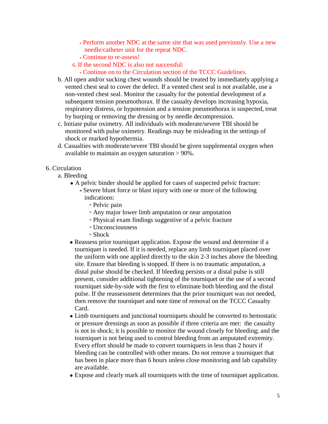- ⁃ Perform another NDC at the same site that was used previously. Use a new needle/catheter unit for the repeat NDC.
- ⁃ Continue to re-assess!
- 6. If the second NDC is also not successful:
	- ⁃ Continue on to the Circulation section of the TCCC Guidelines.
- b. All open and/or sucking chest wounds should be treated by immediately applying a vented chest seal to cover the defect. If a vented chest seal is not available, use a non-vented chest seal. Monitor the casualty for the potential development of a subsequent tension pneumothorax. If the casualty develops increasing hypoxia, respiratory distress, or hypotension and a tension pneumothorax is suspected, treat by burping or removing the dressing or by needle decompression.
- c. Initiate pulse oximetry. All individuals with moderate/severe TBI should be monitored with pulse oximetry. Readings may be misleading in the settings of shock or marked hypothermia.
- d. Casualties with moderate/severe TBI should be given supplemental oxygen when available to maintain an oxygen saturation > 90%.

#### 6. Circulation

- a. Bleeding
	- A pelvic binder should be applied for cases of suspected pelvic fracture:
		- ⁃ Severe blunt force or blast injury with one or more of the following indications:
			- Pelvic pain
			- Any major lower limb amputation or near amputation
			- Physical exam findings suggestive of a pelvic fracture
			- Unconsciousness
			- Shock
	- Reassess prior tourniquet application. Expose the wound and determine if a tourniquet is needed. If it is needed, replace any limb tourniquet placed over the uniform with one applied directly to the skin 2-3 inches above the bleeding site. Ensure that bleeding is stopped. If there is no traumatic amputation, a distal pulse should be checked. If bleeding persists or a distal pulse is still present, consider additional tightening of the tourniquet or the use of a second tourniquet side-by-side with the first to eliminate both bleeding and the distal pulse. If the reassessment determines that the prior tourniquet was not needed, then remove the tourniquet and note time of removal on the TCCC Casualty Card.
	- Limb tourniquets and junctional tourniquets should be converted to hemostatic or pressure dressings as soon as possible if three criteria are met: the casualty is not in shock; it is possible to monitor the wound closely for bleeding; and the tourniquet is not being used to control bleeding from an amputated extremity. Every effort should be made to convert tourniquets in less than 2 hours if bleeding can be controlled with other means. Do not remove a tourniquet that has been in place more than 6 hours unless close monitoring and lab capability are available.
	- Expose and clearly mark all tourniquets with the time of tourniquet application.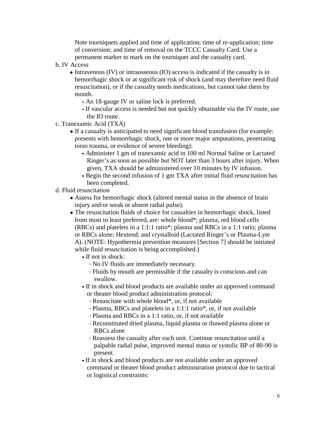Note tourniquets applied and time of application; time of re-application; time of conversion; and time of removal on the TCCC Casualty Card. Use a permanent marker to mark on the tourniquet and the casualty card.

- b. IV Access
	- Intravenous (IV) or intraosseous (IO) access is indicated if the casualty is in hemorrhagic shock or at significant risk of shock (and may therefore need fluid resuscitation), or if the casualty needs medications, but cannot take them by mouth.
		- ⁃ An 18-gauge IV or saline lock is preferred.
		- ⁃ If vascular access is needed but not quickly obtainable via the IV route, use the IO route.
- c. Tranexamic Acid (TXA)
	- If a casualty is anticipated to need significant blood transfusion (for example: presents with hemorrhagic shock, one or more major amputations, penetrating torso trauma, or evidence of severe bleeding):
		- **⁃** Administer 1 gm of tranexamic acid in 100 ml Normal Saline or Lactated Ringer's as soon as possible but NOT later than 3 hours after injury. When given, TXA should be administered over 10 minutes by IV infusion.
		- **⁃** Begin the second infusion of 1 gm TXA after initial fluid resuscitation has been completed.
- d. Fluid resuscitation
	- Assess for hemorrhagic shock (altered mental status in the absence of brain injury and/or weak or absent radial pulse).
	- The resuscitation fluids of choice for casualties in hemorrhagic shock, listed from most to least preferred, are: whole blood\*; plasma, red blood cells (RBCs) and platelets in a 1:1:1 ratio\*; plasma and RBCs in a 1:1 ratio; plasma or RBCs alone; Hextend; and crystalloid (Lactated Ringer's or Plasma-Lyte A). (NOTE: Hypothermia prevention measures [Section 7] should be initiated while fluid resuscitation is being accomplished.)
		- **⁃** If not in shock:
			- No IV fluids are immediately necessary.
			- Fluids by mouth are permissible if the casualty is conscious and can swallow.
		- **⁃** If in shock and blood products are available under an approved command or theater blood product administration protocol:
			- Resuscitate with whole blood\*, or, if not available
			- Plasma, RBCs and platelets in a 1:1:1 ratio\*, or, if not available
			- Plasma and RBCs in a 1:1 ratio, or, if not available
			- Reconstituted dried plasma, liquid plasma or thawed plasma alone or RBCs alone
			- Reassess the casualty after each unit. Continue resuscitation until a palpable radial pulse, improved mental status or systolic BP of 80-90 is present.
		- **⁃** If in shock and blood products are not available under an approved command or theater blood product administration protocol due to tactical or logistical constraints: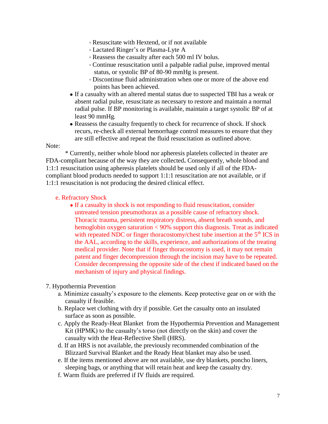- Resuscitate with Hextend, or if not available
- Lactated Ringer's or Plasma-Lyte A
- Reassess the casualty after each 500 ml IV bolus.
- Continue resuscitation until a palpable radial pulse, improved mental status, or systolic BP of 80-90 mmHg is present.
- Discontinue fluid administration when one or more of the above end points has been achieved.
- If a casualty with an altered mental status due to suspected TBI has a weak or absent radial pulse, resuscitate as necessary to restore and maintain a normal radial pulse. If BP monitoring is available, maintain a target systolic BP of at least 90 mmHg.
- Reassess the casualty frequently to check for recurrence of shock. If shock recurs, re-check all external hemorrhage control measures to ensure that they are still effective and repeat the fluid resuscitation as outlined above.

#### Note:

\* Currently, neither whole blood nor apheresis platelets collected in theater are FDA-compliant because of the way they are collected**.** Consequently, whole blood and 1:1:1 resuscitation using apheresis platelets should be used only if all of the FDAcompliant blood products needed to support 1:1:1 resuscitation are not available, or if 1:1:1 resuscitation is not producing the desired clinical effect.

#### e. Refractory Shock

• If a casualty in shock is not responding to fluid resuscitation, consider untreated tension pneumothorax as a possible cause of refractory shock. Thoracic trauma, persistent respiratory distress, absent breath sounds, and hemoglobin oxygen saturation < 90% support this diagnosis. Treat as indicated with repeated NDC or finger thoracostomy/chest tube insertion at the  $5<sup>th</sup> ICS$  in the AAL, according to the skills, experience, and authorizations of the treating medical provider. Note that if finger thoracostomy is used, it may not remain patent and finger decompression through the incision may have to be repeated. Consider decompressing the opposite side of the chest if indicated based on the mechanism of injury and physical findings.

#### 7. Hypothermia Prevention

- a. Minimize casualty's exposure to the elements. Keep protective gear on or with the casualty if feasible.
- b. Replace wet clothing with dry if possible. Get the casualty onto an insulated surface as soon as possible.
- c. Apply the Ready-Heat Blanket from the Hypothermia Prevention and Management Kit (HPMK) to the casualty's torso (not directly on the skin) and cover the casualty with the Heat-Reflective Shell (HRS).
- d. If an HRS is not available, the previously recommended combination of the Blizzard Survival Blanket and the Ready Heat blanket may also be used.
- e. If the items mentioned above are not available, use dry blankets, poncho liners, sleeping bags, or anything that will retain heat and keep the casualty dry.
- f. Warm fluids are preferred if IV fluids are required.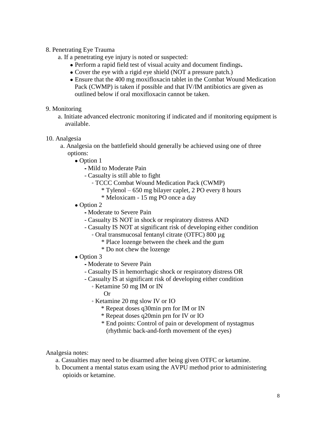#### 8. Penetrating Eye Trauma

- a. If a penetrating eye injury is noted or suspected:
	- Perform a rapid field test of visual acuity and document findings**.**
	- Cover the eye with a rigid eye shield (NOT a pressure patch.)
	- Ensure that the 400 mg moxifloxacin tablet in the Combat Wound Medication Pack (CWMP) is taken if possible and that IV/IM antibiotics are given as outlined below if oral moxifloxacin cannot be taken.
- 9. Monitoring
	- a. Initiate advanced electronic monitoring if indicated and if monitoring equipment is available.
- 10. Analgesia
	- a. Analgesia on the battlefield should generally be achieved using one of three options:
		- Option 1
			- ⁃ Mild to Moderate Pain
			- Casualty is still able to fight
				- TCCC Combat Wound Medication Pack (CWMP)
					- \* Tylenol 650 mg bilayer caplet, 2 PO every 8 hours
					- \* Meloxicam 15 mg PO once a day
		- Option 2
			- ⁃ Moderate to Severe Pain
			- Casualty IS NOT in shock or respiratory distress AND
			- Casualty IS NOT at significant risk of developing either condition
				- Oral transmucosal fentanyl citrate (OTFC) 800 µg
					- \* Place lozenge between the cheek and the gum
					- \* Do not chew the lozenge
		- Option 3
			- ⁃ Moderate to Severe Pain
			- Casualty IS in hemorrhagic shock or respiratory distress OR
			- Casualty IS at significant risk of developing either condition
				- Ketamine 50 mg IM or IN
					- Or
				- Ketamine 20 mg slow IV or IO
					- \* Repeat doses q30min prn for IM or IN
					- \* Repeat doses q20min prn for IV or IO
					- \* End points: Control of pain or development of nystagmus (rhythmic back-and-forth movement of the eyes)

Analgesia notes:

- a. Casualties may need to be disarmed after being given OTFC or ketamine.
- b. Document a mental status exam using the AVPU method prior to administering opioids or ketamine.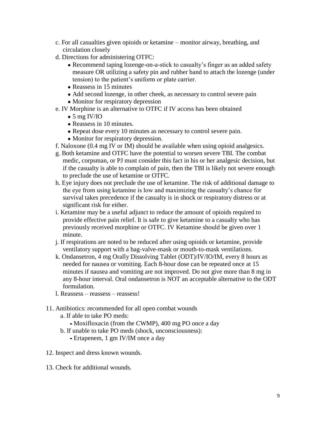- c. For all casualties given opioids or ketamine monitor airway, breathing, and circulation closely
- d. Directions for administering OTFC:
	- Recommend taping lozenge-on-a-stick to casualty's finger as an added safety measure OR utilizing a safety pin and rubber band to attach the lozenge (under tension) to the patient's uniform or plate carrier.
	- Reassess in 15 minutes
	- Add second lozenge, in other cheek, as necessary to control severe pain
	- Monitor for respiratory depression
- e. IV Morphine is an alternative to OTFC if IV access has been obtained
	- $\bullet$  5 mg IV/IO
	- Reassess in 10 minutes.
	- Repeat dose every 10 minutes as necessary to control severe pain.
	- Monitor for respiratory depression.
- f. Naloxone (0.4 mg IV or IM) should be available when using opioid analgesics.
- g. Both ketamine and OTFC have the potential to worsen severe TBI. The combat medic, corpsman, or PJ must consider this fact in his or her analgesic decision, but if the casualty is able to complain of pain, then the TBI is likely not severe enough to preclude the use of ketamine or OTFC.
- h. Eye injury does not preclude the use of ketamine. The risk of additional damage to the eye from using ketamine is low and maximizing the casualty's chance for survival takes precedence if the casualty is in shock or respiratory distress or at significant risk for either.
- i. Ketamine may be a useful adjunct to reduce the amount of opioids required to provide effective pain relief. It is safe to give ketamine to a casualty who has previously received morphine or OTFC. IV Ketamine should be given over 1 minute.
- j. If respirations are noted to be reduced after using opioids or ketamine, provide ventilatory support with a bag-valve-mask or mouth-to-mask ventilations.
- k. Ondansetron, 4 mg Orally Dissolving Tablet (ODT)/IV/IO/IM, every 8 hours as needed for nausea or vomiting. Each 8-hour dose can be repeated once at 15 minutes if nausea and vomiting are not improved. Do not give more than 8 mg in any 8-hour interval. Oral ondansetron is NOT an acceptable alternative to the ODT formulation.
- l. Reassess reassess reassess!
- 11. Antibiotics: recommended for all open combat wounds
	- a. If able to take PO meds:
		- **⁃** Moxifloxacin (from the CWMP), 400 mg PO once a day
	- b. If unable to take PO meds (shock, unconsciousness):
		- **⁃** Ertapenem, 1 gm IV/IM once a day
- 12. Inspect and dress known wounds.
- 13. Check for additional wounds.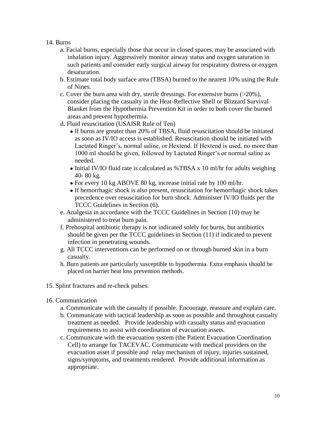#### 14. Burns

- a. Facial burns, especially those that occur in closed spaces, may be associated with inhalation injury. Aggressively monitor airway status and oxygen saturation in such patients and consider early surgical airway for respiratory distress or oxygen desaturation.
- b. Estimate total body surface area (TBSA) burned to the nearest 10% using the Rule of Nines.
- c. Cover the burn area with dry, sterile dressings. For extensive burns (>20%), consider placing the casualty in the Heat-Reflective Shell or Blizzard Survival Blanket from the Hypothermia Prevention Kit in order to both cover the burned areas and prevent hypothermia.
- d. Fluid resuscitation (USAISR Rule of Ten)
	- If burns are greater than 20% of TBSA, fluid resuscitation should be initiated as soon as IV/IO access is established. Resuscitation should be initiated with Lactated Ringer's, normal saline, or Hextend. If Hextend is used, no more than 1000 ml should be given, followed by Lactated Ringer's or normal saline as needed.
	- Initial IV/IO fluid rate is calculated as  $\%$ TBSA x 10 ml/hr for adults weighing 40- 80 kg.
	- For every 10 kg ABOVE 80 kg, increase initial rate by 100 ml/hr.
	- If hemorrhagic shock is also present, resuscitation for hemorrhagic shock takes precedence over resuscitation for burn shock. Administer IV/IO fluids per the TCCC Guidelines in Section (6).
- e. Analgesia in accordance with the TCCC Guidelines in Section (10) may be administered to treat burn pain.
- f. Prehospital antibiotic therapy is not indicated solely for burns, but antibiotics should be given per the TCCC guidelines in Section (11) if indicated to prevent infection in penetrating wounds.
- g. All TCCC interventions can be performed on or through burned skin in a burn casualty.
- h. Burn patients are particularly susceptible to hypothermia. Extra emphasis should be placed on barrier heat loss prevention methods.
- 15. Splint fractures and re-check pulses.
- 16. Communication
	- a. Communicate with the casualty if possible. Encourage, reassure and explain care.
	- b. Communicate with tactical leadership as soon as possible and throughout casualty treatment as needed. Provide leadership with casualty status and evacuation requirements to assist with coordination of evacuation assets.
	- c. Communicate with the evacuation system (the Patient Evacuation Coordination Cell) to arrange for TACEVAC. Communicate with medical providers on the evacuation asset if possible and relay mechanism of injury, injuries sustained, signs/symptoms, and treatments rendered. Provide additional information as appropriate.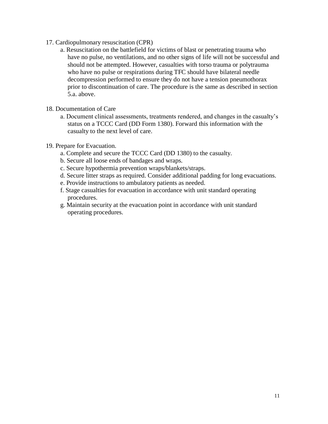- 17. Cardiopulmonary resuscitation (CPR)
	- a. Resuscitation on the battlefield for victims of blast or penetrating trauma who have no pulse, no ventilations, and no other signs of life will not be successful and should not be attempted. However, casualties with torso trauma or polytrauma who have no pulse or respirations during TFC should have bilateral needle decompression performed to ensure they do not have a tension pneumothorax prior to discontinuation of care. The procedure is the same as described in section 5.a. above.
- 18. Documentation of Care
	- a. Document clinical assessments, treatments rendered, and changes in the casualty's status on a TCCC Card (DD Form 1380). Forward this information with the casualty to the next level of care.
- 19. Prepare for Evacuation.
	- a. Complete and secure the TCCC Card (DD 1380) to the casualty.
	- b. Secure all loose ends of bandages and wraps.
	- c. Secure hypothermia prevention wraps/blankets/straps.
	- d. Secure litter straps as required. Consider additional padding for long evacuations.
	- e. Provide instructions to ambulatory patients as needed.
	- f. Stage casualties for evacuation in accordance with unit standard operating procedures.
	- g. Maintain security at the evacuation point in accordance with unit standard operating procedures.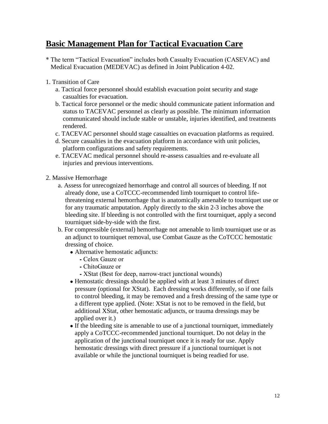# **Basic Management Plan for Tactical Evacuation Care**

- \* The term "Tactical Evacuation" includes both Casualty Evacuation (CASEVAC) and Medical Evacuation (MEDEVAC) as defined in Joint Publication 4-02.
- 1. Transition of Care
	- a. Tactical force personnel should establish evacuation point security and stage casualties for evacuation.
	- b. Tactical force personnel or the medic should communicate patient information and status to TACEVAC personnel as clearly as possible. The minimum information communicated should include stable or unstable, injuries identified, and treatments rendered.
	- c. TACEVAC personnel should stage casualties on evacuation platforms as required.
	- d. Secure casualties in the evacuation platform in accordance with unit policies, platform configurations and safety requirements.
	- e. TACEVAC medical personnel should re-assess casualties and re-evaluate all injuries and previous interventions.
- 2. Massive Hemorrhage
	- a. Assess for unrecognized hemorrhage and control all sources of bleeding. If not already done, use a CoTCCC-recommended limb tourniquet to control lifethreatening external hemorrhage that is anatomically amenable to tourniquet use or for any traumatic amputation. Apply directly to the skin 2-3 inches above the bleeding site. If bleeding is not controlled with the first tourniquet, apply a second tourniquet side-by-side with the first.
	- b. For compressible (external) hemorrhage not amenable to limb tourniquet use or as an adjunct to tourniquet removal, use Combat Gauze as the CoTCCC hemostatic dressing of choice.
		- Alternative hemostatic adjuncts:
			- ⁃ Celox Gauze or
			- ⁃ ChitoGauze or
			- ⁃ XStat (Best for deep, narrow-tract junctional wounds)
		- Hemostatic dressings should be applied with at least 3 minutes of direct pressure (optional for XStat). Each dressing works differently, so if one fails to control bleeding, it may be removed and a fresh dressing of the same type or a different type applied. (Note: XStat is not to be removed in the field, but additional XStat, other hemostatic adjuncts, or trauma dressings may be applied over it.)
		- If the bleeding site is amenable to use of a junctional tourniquet, immediately apply a CoTCCC-recommended junctional tourniquet. Do not delay in the application of the junctional tourniquet once it is ready for use. Apply hemostatic dressings with direct pressure if a junctional tourniquet is not available or while the junctional tourniquet is being readied for use.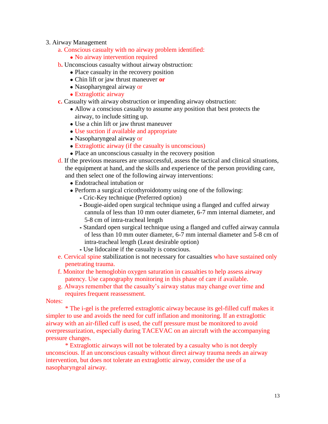- 3. Airway Management
	- a. Conscious casualty with no airway problem identified:
		- No airway intervention required
	- b**.** Unconscious casualty without airway obstruction:
		- Place casualty in the recovery position
		- Chin lift or jaw thrust maneuver **or**
		- Nasopharyngeal airway or
		- Extraglottic airway
	- **c.** Casualty with airway obstruction or impending airway obstruction:
		- Allow a conscious casualty to assume any position that best protects the airway, to include sitting up.
		- Use a chin lift or jaw thrust maneuver
		- Use suction if available and appropriate
		- Nasopharyngeal airway or
		- Extraglottic airway (if the casualty is unconscious)
		- Place an unconscious casualty in the recovery position
	- d. If the previous measures are unsuccessful, assess the tactical and clinical situations, the equipment at hand, and the skills and experience of the person providing care, and then select one of the following airway interventions:
		- Endotracheal intubation or
		- Perform a surgical cricothyroidotomy using one of the following:
			- ⁃ Cric-Key technique (Preferred option)
			- ⁃ Bougie-aided open surgical technique using a flanged and cuffed airway cannula of less than 10 mm outer diameter, 6-7 mm internal diameter, and 5-8 cm of intra-tracheal length
			- ⁃ Standard open surgical technique using a flanged and cuffed airway cannula of less than 10 mm outer diameter, 6-7 mm internal diameter and 5-8 cm of intra-tracheal length (Least desirable option)
			- ⁃ Use lidocaine if the casualty is conscious.
	- e. Cervical spine stabilization is not necessary for casualties who have sustained only penetrating trauma.
	- f. Monitor the hemoglobin oxygen saturation in casualties to help assess airway patency. Use capnography monitoring in this phase of care if available.
	- g. Always remember that the casualty's airway status may change over time and requires frequent reassessment.

Notes:

\* The i-gel is the preferred extraglottic airway because its gel-filled cuff makes it simpler to use and avoids the need for cuff inflation and monitoring. If an extraglottic airway with an air-filled cuff is used, the cuff pressure must be monitored to avoid overpressurization, especially during TACEVAC on an aircraft with the accompanying pressure changes.

\* Extraglottic airways will not be tolerated by a casualty who is not deeply unconscious. If an unconscious casualty without direct airway trauma needs an airway intervention, but does not tolerate an extraglottic airway, consider the use of a nasopharyngeal airway.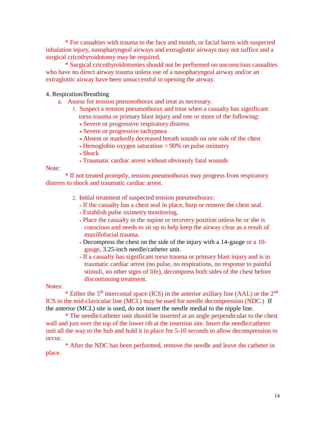\* For casualties with trauma to the face and mouth, or facial burns with suspected inhalation injury, nasopharyngeal airways and extraglottic airways may not suffice and a surgical cricothyroidotomy may be required.

\* Surgical cricothyroidotomies should not be performed on unconscious casualties who have no direct airway trauma unless use of a nasopharyngeal airway and/or an extraglottic airway have been unsuccessful in opening the airway.

#### 4. Respiration/Breathing

- a. Assess for tension pneumothorax and treat as necessary.
	- 1. Suspect a tension pneumothorax and treat when a casualty has significant torso trauma or primary blast injury and one or more of the following:
		- **⁃** Severe or progressive respiratory distress
		- **⁃** Severe or progressive tachypnea
		- **⁃** Absent or markedly decreased breath sounds on one side of the chest
		- **⁃** Hemoglobin oxygen saturation < 90% on pulse oximetry
		- **⁃** Shock
		- **⁃** Traumatic cardiac arrest without obviously fatal wounds

Note:

\* If not treated promptly, tension pneumothorax may progress from respiratory distress to shock and traumatic cardiac arrest.

- 2. Initial treatment of suspected tension pneumothorax:
	- ⁃ If the casualty has a chest seal in place, burp or remove the chest seal.
	- ⁃ Establish pulse oximetry monitoring.
	- ⁃ Place the casualty in the supine or recovery position unless he or she is conscious and needs to sit up to help keep the airway clear as a result of maxillofacial trauma.
	- ⁃ Decompress the chest on the side of the injury with a 14-gauge or a 10 gauge, 3.25-inch needle/catheter unit.
	- ⁃ If a casualty has significant torso trauma or primary blast injury and is in traumatic cardiac arrest (no pulse, no respirations, no response to painful stimuli, no other signs of life), decompress both sides of the chest before discontinuing treatment.

Notes:

\* Either the  $5<sup>th</sup>$  intercostal space (ICS) in the anterior axillary line (AAL) or the  $2<sup>nd</sup>$ ICS in the mid-clavicular line (MCL) may be used for needle decompression (NDC.) If the anterior (MCL) site is used, do not insert the needle medial to the nipple line.

\* The needle/catheter unit should be inserted at an angle perpendicular to the chest wall and just over the top of the lower rib at the insertion site. Insert the needle/catheter unit all the way to the hub and hold it in place for 5-10 seconds to allow decompression to occur.

\* After the NDC has been performed, remove the needle and leave the catheter in place.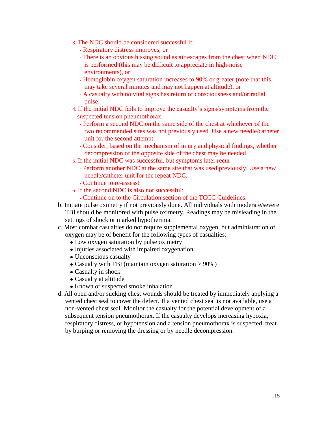- 3. The NDC should be considered successful if:
	- ⁃ Respiratory distress improves, or
	- ⁃ There is an obvious hissing sound as air escapes from the chest when NDC is performed (this may be difficult to appreciate in high-noise environments), or
	- ⁃ Hemoglobin oxygen saturation increases to 90% or greater (note that this may take several minutes and may not happen at altitude), or
	- ⁃ A casualty with no vital signs has return of consciousness and/or radial pulse.
- 4. If the initial NDC fails to improve the casualty's signs/symptoms from the suspected tension pneumothorax:
	- ⁃ Perform a second NDC on the same side of the chest at whichever of the two recommended sites was not previously used. Use a new needle/catheter unit for the second attempt.
	- ⁃ Consider, based on the mechanism of injury and physical findings, whether decompression of the opposite side of the chest may be needed.
- 5. If the initial NDC was successful, but symptoms later recur:
	- ⁃ Perform another NDC at the same site that was used previously. Use a new needle/catheter unit for the repeat NDC.
	- ⁃ Continue to re-assess!
- 6. If the second NDC is also not successful:
	- ⁃ Continue on to the Circulation section of the TCCC Guidelines.
- b. Initiate pulse oximetry if not previously done. All individuals with moderate/severe TBI should be monitored with pulse oximetry. Readings may be misleading in the settings of shock or marked hypothermia.
- c. Most combat casualties do not require supplemental oxygen, but administration of oxygen may be of benefit for the following types of casualties:
	- Low oxygen saturation by pulse oximetry
	- Injuries associated with impaired oxygenation
	- Unconscious casualty
	- Casualty with TBI (maintain oxygen saturation  $> 90\%$ )
	- Casualty in shock
	- Casualty at altitude
	- Known or suspected smoke inhalation
- d. All open and/or sucking chest wounds should be treated by immediately applying a vented chest seal to cover the defect. If a vented chest seal is not available, use a non-vented chest seal. Monitor the casualty for the potential development of a subsequent tension pneumothorax. If the casualty develops increasing hypoxia, respiratory distress, or hypotension and a tension pneumothorax is suspected, treat by burping or removing the dressing or by needle decompression.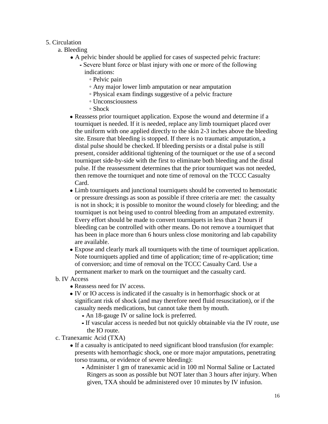### 5. Circulation

- a. Bleeding
	- A pelvic binder should be applied for cases of suspected pelvic fracture: ⁃ Severe blunt force or blast injury with one or more of the following indications:
		- Pelvic pain
		- Any major lower limb amputation or near amputation
		- Physical exam findings suggestive of a pelvic fracture
		- Unconsciousness
		- Shock
	- Reassess prior tourniquet application. Expose the wound and determine if a tourniquet is needed. If it is needed, replace any limb tourniquet placed over the uniform with one applied directly to the skin 2-3 inches above the bleeding site. Ensure that bleeding is stopped. If there is no traumatic amputation, a distal pulse should be checked. If bleeding persists or a distal pulse is still present, consider additional tightening of the tourniquet or the use of a second tourniquet side-by-side with the first to eliminate both bleeding and the distal pulse. If the reassessment determines that the prior tourniquet was not needed, then remove the tourniquet and note time of removal on the TCCC Casualty Card.
	- Limb tourniquets and junctional tourniquets should be converted to hemostatic or pressure dressings as soon as possible if three criteria are met: the casualty is not in shock; it is possible to monitor the wound closely for bleeding; and the tourniquet is not being used to control bleeding from an amputated extremity. Every effort should be made to convert tourniquets in less than 2 hours if bleeding can be controlled with other means. Do not remove a tourniquet that has been in place more than 6 hours unless close monitoring and lab capability are available.
	- Expose and clearly mark all tourniquets with the time of tourniquet application. Note tourniquets applied and time of application; time of re-application; time of conversion; and time of removal on the TCCC Casualty Card. Use a permanent marker to mark on the tourniquet and the casualty card.
- b. IV Access
	- Reassess need for IV access.
	- IV or IO access is indicated if the casualty is in hemorrhagic shock or at significant risk of shock (and may therefore need fluid resuscitation), or if the casualty needs medications, but cannot take them by mouth.
		- **⁃** An 18-gauge IV or saline lock is preferred.
		- **⁃** If vascular access is needed but not quickly obtainable via the IV route, use the IO route.
- c. Tranexamic Acid (TXA)
	- If a casualty is anticipated to need significant blood transfusion (for example: presents with hemorrhagic shock, one or more major amputations, penetrating torso trauma, or evidence of severe bleeding):
		- **⁃** Administer 1 gm of tranexamic acid in 100 ml Normal Saline or Lactated Ringers as soon as possible but NOT later than 3 hours after injury. When given, TXA should be administered over 10 minutes by IV infusion.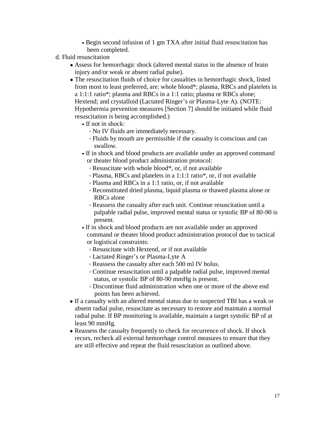- **⁃** Begin second infusion of 1 gm TXA after initial fluid resuscitation has been completed.
- d. Fluid resuscitation
	- Assess for hemorrhagic shock (altered mental status in the absence of brain injury and/or weak or absent radial pulse).
	- The resuscitation fluids of choice for casualties in hemorrhagic shock, listed from most to least preferred, are: whole blood\*; plasma, RBCs and platelets in a 1:1:1 ratio\*; plasma and RBCs in a 1:1 ratio; plasma or RBCs alone; Hextend; and crystalloid (Lactated Ringer's or Plasma-Lyte A). (NOTE: Hypothermia prevention measures [Section 7] should be initiated while fluid resuscitation is being accomplished.)
		- **⁃** If not in shock:
			- No IV fluids are immediately necessary.
			- Fluids by mouth are permissible if the casualty is conscious and can swallow.
		- **⁃** If in shock and blood products are available under an approved command or theater blood product administration protocol:
			- Resuscitate with whole blood\*, or, if not available
			- Plasma, RBCs and platelets in a 1:1:1 ratio\*, or, if not available
			- Plasma and RBCs in a 1:1 ratio, or, if not available
			- Reconstituted dried plasma, liquid plasma or thawed plasma alone or RBCs alone
			- Reassess the casualty after each unit. Continue resuscitation until a palpable radial pulse, improved mental status or systolic BP of 80-90 is present.
		- **⁃** If in shock and blood products are not available under an approved command or theater blood product administration protocol due to tactical or logistical constraints:
			- Resuscitate with Hextend, or if not available
			- Lactated Ringer's or Plasma-Lyte A
			- Reassess the casualty after each 500 ml IV bolus.
			- Continue resuscitation until a palpable radial pulse, improved mental status, or systolic BP of 80-90 mmHg is present.
			- Discontinue fluid administration when one or more of the above end points has been achieved.
	- If a casualty with an altered mental status due to suspected TBI has a weak or absent radial pulse, resuscitate as necessary to restore and maintain a normal radial pulse. If BP monitoring is available, maintain a target systolic BP of at least 90 mmHg.
	- Reassess the casualty frequently to check for recurrence of shock. If shock recurs, recheck all external hemorrhage control measures to ensure that they are still effective and repeat the fluid resuscitation as outlined above.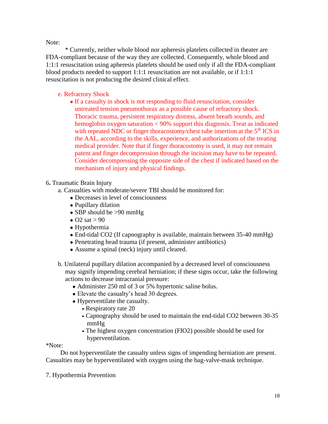Note:

\* Currently, neither whole blood nor apheresis platelets collected in theater are FDA-compliant because of the way they are collected. Consequently, whole blood and 1:1:1 resuscitation using apheresis platelets should be used only if all the FDA-compliant blood products needed to support 1:1:1 resuscitation are not available, or if 1:1:1 resuscitation is not producing the desired clinical effect.

# e. Refractory Shock

• If a casualty in shock is not responding to fluid resuscitation, consider untreated tension pneumothorax as a possible cause of refractory shock. Thoracic trauma, persistent respiratory distress, absent breath sounds, and hemoglobin oxygen saturation < 90% support this diagnosis. Treat as indicated with repeated NDC or finger thoracostomy/chest tube insertion at the  $5<sup>th</sup> ICS$  in the AAL, according to the skills, experience, and authorizations of the treating medical provider. Note that if finger thoracostomy is used, it may not remain patent and finger decompression through the incision may have to be repeated. Consider decompressing the opposite side of the chest if indicated based on the mechanism of injury and physical findings.

## 6**.** Traumatic Brain Injury

- a. Casualties with moderate/severe TBI should be monitored for:
	- Decreases in level of consciousness
	- Pupillary dilation
	- SBP should be  $>90$  mmHg
	- $\bullet$  O2 sat > 90
	- Hypothermia
	- End-tidal CO2 (If capnography is available, maintain between 35-40 mmHg)
	- Penetrating head trauma (if present, administer antibiotics)
	- Assume a spinal (neck) injury until cleared.
- b. Unilateral pupillary dilation accompanied by a decreased level of consciousness may signify impending cerebral herniation; if these signs occur, take the following actions to decrease intracranial pressure:
	- Administer 250 ml of 3 or 5% hypertonic saline bolus.
	- Elevate the casualty's head 30 degrees.
	- Hyperventilate the casualty.
		- **⁃** Respiratory rate 20
		- **⁃** Capnography should be used to maintain the end-tidal CO2 between 30-35 mmHg
		- **⁃** The highest oxygen concentration (FIO2) possible should be used for hyperventilation.

\*Note:

Do not hyperventilate the casualty unless signs of impending herniation are present. Casualties may be hyperventilated with oxygen using the bag-valve-mask technique.

7. Hypothermia Prevention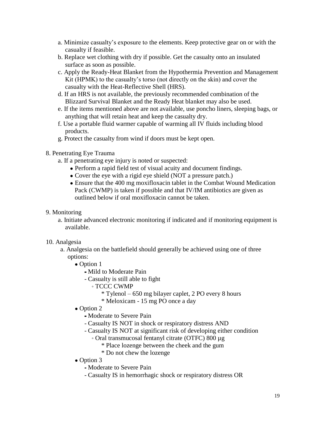- a. Minimize casualty's exposure to the elements. Keep protective gear on or with the casualty if feasible.
- b. Replace wet clothing with dry if possible. Get the casualty onto an insulated surface as soon as possible.
- c. Apply the Ready-Heat Blanket from the Hypothermia Prevention and Management Kit (HPMK) to the casualty's torso (not directly on the skin) and cover the casualty with the Heat-Reflective Shell (HRS).
- d. If an HRS is not available, the previously recommended combination of the Blizzard Survival Blanket and the Ready Heat blanket may also be used.
- e. If the items mentioned above are not available, use poncho liners, sleeping bags, or anything that will retain heat and keep the casualty dry.
- f. Use a portable fluid warmer capable of warming all IV fluids including blood products.
- g. Protect the casualty from wind if doors must be kept open.
- 8. Penetrating Eye Trauma
	- a. If a penetrating eye injury is noted or suspected:
		- Perform a rapid field test of visual acuity and document findings.
		- Cover the eye with a rigid eye shield (NOT a pressure patch.)
		- Ensure that the 400 mg moxifloxacin tablet in the Combat Wound Medication Pack (CWMP) is taken if possible and that IV/IM antibiotics are given as outlined below if oral moxifloxacin cannot be taken.
- 9. Monitoring
	- a. Initiate advanced electronic monitoring if indicated and if monitoring equipment is available.

#### 10. Analgesia

- a. Analgesia on the battlefield should generally be achieved using one of three options:
	- Option 1
		- **⁃** Mild to Moderate Pain
		- Casualty is still able to fight
			- TCCC CWMP
				- \* Tylenol 650 mg bilayer caplet, 2 PO every 8 hours
				- \* Meloxicam 15 mg PO once a day
	- Option 2
		- **⁃** Moderate to Severe Pain
		- Casualty IS NOT in shock or respiratory distress AND
		- Casualty IS NOT at significant risk of developing either condition
			- Oral transmucosal fentanyl citrate (OTFC) 800 µg
				- \* Place lozenge between the cheek and the gum
				- \* Do not chew the lozenge
	- Option 3
		- ⁃ Moderate to Severe Pain
		- Casualty IS in hemorrhagic shock or respiratory distress OR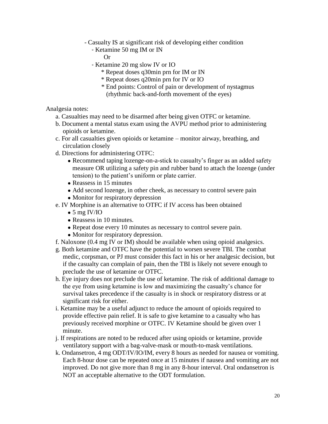- Casualty IS at significant risk of developing either condition

- Ketamine 50 mg IM or IN
	- Or
- Ketamine 20 mg slow IV or IO
	- \* Repeat doses q30min prn for IM or IN
	- \* Repeat doses q20min prn for IV or IO
	- \* End points: Control of pain or development of nystagmus (rhythmic back-and-forth movement of the eyes)

Analgesia notes:

- a. Casualties may need to be disarmed after being given OTFC or ketamine.
- b. Document a mental status exam using the AVPU method prior to administering opioids or ketamine.
- c. For all casualties given opioids or ketamine monitor airway, breathing, and circulation closely
- d. Directions for administering OTFC:
	- Recommend taping lozenge-on-a-stick to casualty's finger as an added safety measure OR utilizing a safety pin and rubber band to attach the lozenge (under tension) to the patient's uniform or plate carrier.
	- Reassess in 15 minutes
	- Add second lozenge, in other cheek, as necessary to control severe pain
	- Monitor for respiratory depression
- e. IV Morphine is an alternative to OTFC if IV access has been obtained
	- 5 mg IV/IO
	- Reassess in 10 minutes.
	- Repeat dose every 10 minutes as necessary to control severe pain.
	- Monitor for respiratory depression.
- f. Naloxone (0.4 mg IV or IM) should be available when using opioid analgesics.
- g. Both ketamine and OTFC have the potential to worsen severe TBI. The combat medic, corpsman, or PJ must consider this fact in his or her analgesic decision, but if the casualty can complain of pain, then the TBI is likely not severe enough to preclude the use of ketamine or OTFC.
- h. Eye injury does not preclude the use of ketamine. The risk of additional damage to the eye from using ketamine is low and maximizing the casualty's chance for survival takes precedence if the casualty is in shock or respiratory distress or at significant risk for either.
- i. Ketamine may be a useful adjunct to reduce the amount of opioids required to provide effective pain relief. It is safe to give ketamine to a casualty who has previously received morphine or OTFC. IV Ketamine should be given over 1 minute.
- j. If respirations are noted to be reduced after using opioids or ketamine, provide ventilatory support with a bag-valve-mask or mouth-to-mask ventilations.
- k. Ondansetron, 4 mg ODT/IV/IO/IM, every 8 hours as needed for nausea or vomiting. Each 8-hour dose can be repeated once at 15 minutes if nausea and vomiting are not improved. Do not give more than 8 mg in any 8-hour interval. Oral ondansetron is NOT an acceptable alternative to the ODT formulation.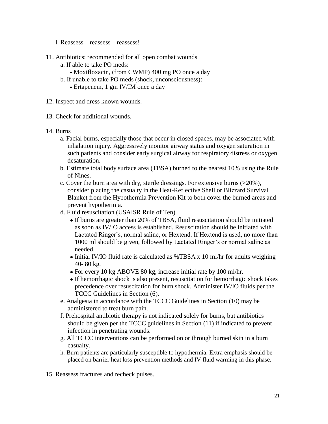- l. Reassess reassess reassess!
- 11. Antibiotics: recommended for all open combat wounds
	- a. If able to take PO meds:
		- **⁃** Moxifloxacin, (from CWMP) 400 mg PO once a day
	- b. If unable to take PO meds (shock, unconsciousness):
		- **⁃** Ertapenem, 1 gm IV/IM once a day
- 12. Inspect and dress known wounds.
- 13. Check for additional wounds.
- 14. Burns
	- a. Facial burns, especially those that occur in closed spaces, may be associated with inhalation injury. Aggressively monitor airway status and oxygen saturation in such patients and consider early surgical airway for respiratory distress or oxygen desaturation.
	- b. Estimate total body surface area (TBSA) burned to the nearest 10% using the Rule of Nines.
	- c. Cover the burn area with dry, sterile dressings. For extensive burns  $(>20\%)$ , consider placing the casualty in the Heat-Reflective Shell or Blizzard Survival Blanket from the Hypothermia Prevention Kit to both cover the burned areas and prevent hypothermia.
	- d. Fluid resuscitation (USAISR Rule of Ten)
		- If burns are greater than 20% of TBSA, fluid resuscitation should be initiated as soon as IV/IO access is established. Resuscitation should be initiated with Lactated Ringer's, normal saline, or Hextend. If Hextend is used, no more than 1000 ml should be given, followed by Lactated Ringer's or normal saline as needed.
		- Initial IV/IO fluid rate is calculated as %TBSA x 10 ml/hr for adults weighing 40- 80 kg.
		- For every 10 kg ABOVE 80 kg, increase initial rate by 100 ml/hr.
		- If hemorrhagic shock is also present, resuscitation for hemorrhagic shock takes precedence over resuscitation for burn shock. Administer IV/IO fluids per the TCCC Guidelines in Section (6).
	- e. Analgesia in accordance with the TCCC Guidelines in Section (10) may be administered to treat burn pain.
	- f. Prehospital antibiotic therapy is not indicated solely for burns, but antibiotics should be given per the TCCC guidelines in Section (11) if indicated to prevent infection in penetrating wounds.
	- g. All TCCC interventions can be performed on or through burned skin in a burn casualty.
	- h. Burn patients are particularly susceptible to hypothermia. Extra emphasis should be placed on barrier heat loss prevention methods and IV fluid warming in this phase.
- 15. Reassess fractures and recheck pulses.